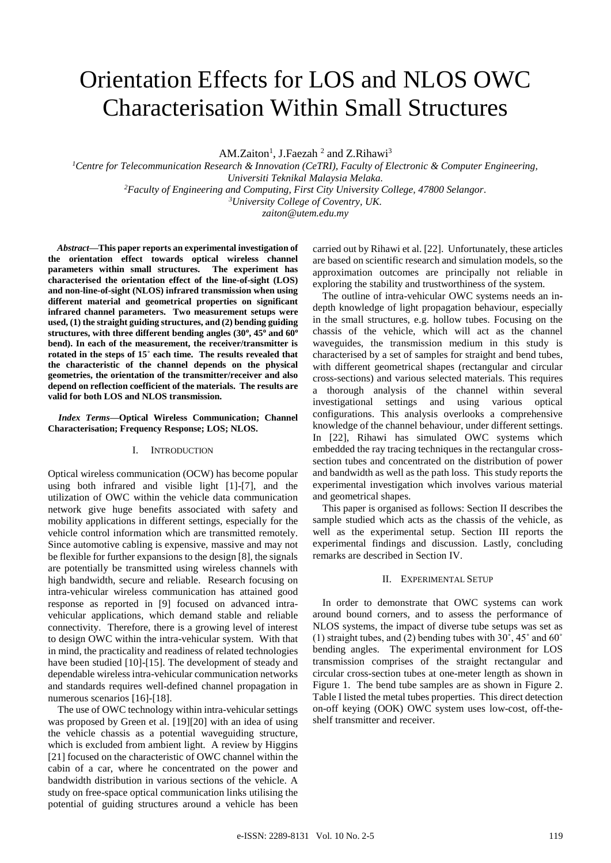# Orientation Effects for LOS and NLOS OWC Characterisation Within Small Structures

AM.Zaiton<sup>1</sup>, J.Faezah<sup>2</sup> and Z.Rihawi<sup>3</sup>

*Centre for Telecommunication Research & Innovation (CeTRI), Faculty of Electronic & Computer Engineering, Universiti Teknikal Malaysia Melaka. Faculty of Engineering and Computing, First City University College, 47800 Selangor. University College of Coventry, UK.*

*zaiton@utem.edu.my*

*Abstract***—This paper reports an experimental investigation of the orientation effect towards optical wireless channel parameters within small structures. The experiment has characterised the orientation effect of the line-of-sight (LOS) and non-line-of-sight (NLOS) infrared transmission when using different material and geometrical properties on significant infrared channel parameters. Two measurement setups were used, (1) the straight guiding structures, and (2) bending guiding structures, with three different bending angles (30<sup>o</sup> , 45<sup>o</sup> and 60<sup>o</sup> bend). In each of the measurement, the receiver/transmitter is rotated in the steps of 15˚ each time. The results revealed that the characteristic of the channel depends on the physical geometries, the orientation of the transmitter/receiver and also depend on reflection coefficient of the materials. The results are valid for both LOS and NLOS transmission.**

# *Index Terms***—Optical Wireless Communication; Channel Characterisation; Frequency Response; LOS; NLOS.**

#### I. INTRODUCTION

Optical wireless communication (OCW) has become popular using both infrared and visible light [1]-[7], and the utilization of OWC within the vehicle data communication network give huge benefits associated with safety and mobility applications in different settings, especially for the vehicle control information which are transmitted remotely. Since automotive cabling is expensive, massive and may not be flexible for further expansions to the design [8], the signals are potentially be transmitted using wireless channels with high bandwidth, secure and reliable. Research focusing on intra-vehicular wireless communication has attained good response as reported in [9] focused on advanced intravehicular applications, which demand stable and reliable connectivity. Therefore, there is a growing level of interest to design OWC within the intra-vehicular system. With that in mind, the practicality and readiness of related technologies have been studied [10]-[15]. The development of steady and dependable wireless intra-vehicular communication networks and standards requires well-defined channel propagation in numerous scenarios [16]-[18].

The use of OWC technology within intra-vehicular settings was proposed by Green et al. [19][20] with an idea of using the vehicle chassis as a potential waveguiding structure, which is excluded from ambient light. A review by Higgins [21] focused on the characteristic of OWC channel within the cabin of a car, where he concentrated on the power and bandwidth distribution in various sections of the vehicle. A study on free-space optical communication links utilising the potential of guiding structures around a vehicle has been carried out by Rihawi et al. [22]. Unfortunately, these articles are based on scientific research and simulation models, so the approximation outcomes are principally not reliable in exploring the stability and trustworthiness of the system.

The outline of intra-vehicular OWC systems needs an indepth knowledge of light propagation behaviour, especially in the small structures, e.g. hollow tubes. Focusing on the chassis of the vehicle, which will act as the channel waveguides, the transmission medium in this study is characterised by a set of samples for straight and bend tubes, with different geometrical shapes (rectangular and circular cross-sections) and various selected materials. This requires a thorough analysis of the channel within several investigational settings and using various optical configurations. This analysis overlooks a comprehensive knowledge of the channel behaviour, under different settings. In [22], Rihawi has simulated OWC systems which embedded the ray tracing techniques in the rectangular crosssection tubes and concentrated on the distribution of power and bandwidth as well as the path loss. This study reports the experimental investigation which involves various material and geometrical shapes.

This paper is organised as follows: Section II describes the sample studied which acts as the chassis of the vehicle, as well as the experimental setup. Section III reports the experimental findings and discussion. Lastly, concluding remarks are described in Section IV.

# II. EXPERIMENTAL SETUP

In order to demonstrate that OWC systems can work around bound corners, and to assess the performance of NLOS systems, the impact of diverse tube setups was set as (1) straight tubes, and (2) bending tubes with 30˚, 45˚ and 60˚ bending angles. The experimental environment for LOS transmission comprises of the straight rectangular and circular cross-section tubes at one-meter length as shown in Figure 1. The bend tube samples are as shown in Figure 2. Table I listed the metal tubes properties. This direct detection on-off keying (OOK) OWC system uses low-cost, off-theshelf transmitter and receiver.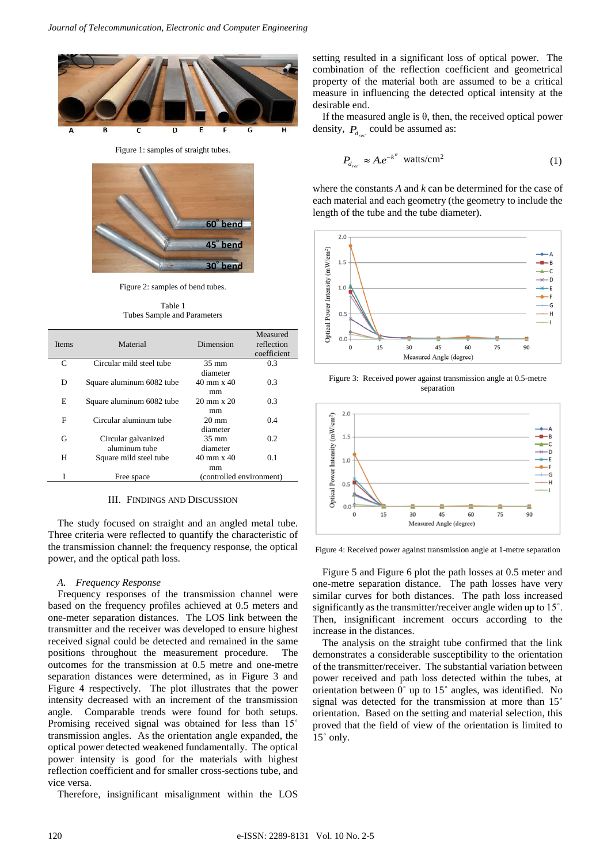

Figure 1: samples of straight tubes.



Figure 2: samples of bend tubes.

Table 1 Tubes Sample and Parameters

| <b>Items</b> | Material                  | Dimension                 | Measured<br>reflection<br>coefficient |
|--------------|---------------------------|---------------------------|---------------------------------------|
| C            | Circular mild steel tube  | $35 \text{ mm}$           | 0.3                                   |
|              |                           | diameter                  |                                       |
| D            | Square aluminum 6082 tube | $40 \text{ mm} \times 40$ | 0.3                                   |
|              |                           | mm                        |                                       |
| E            | Square aluminum 6082 tube | $20 \text{ mm} \times 20$ | 0.3                                   |
|              |                           | mm                        |                                       |
| F            | Circular aluminum tube    | $20 \text{ mm}$           | 0.4                                   |
|              |                           | diameter                  |                                       |
| G            | Circular galvanized       | $35 \text{ mm}$           | 0.2                                   |
|              | aluminum tube             | diameter                  |                                       |
| Н            | Square mild steel tube    | 40 mm x 40                | 0.1                                   |
|              |                           | mm                        |                                       |
| T            | Free space                | (controlled environment)  |                                       |

# III. FINDINGS AND DISCUSSION

The study focused on straight and an angled metal tube. Three criteria were reflected to quantify the characteristic of the transmission channel: the frequency response, the optical power, and the optical path loss.

#### *A. Frequency Response*

Frequency responses of the transmission channel were based on the frequency profiles achieved at 0.5 meters and one-meter separation distances. The LOS link between the transmitter and the receiver was developed to ensure highest received signal could be detected and remained in the same positions throughout the measurement procedure. The outcomes for the transmission at 0.5 metre and one-metre separation distances were determined, as in Figure 3 and Figure 4 respectively. The plot illustrates that the power intensity decreased with an increment of the transmission angle. Comparable trends were found for both setups. Promising received signal was obtained for less than 15˚ transmission angles. As the orientation angle expanded, the optical power detected weakened fundamentally. The optical power intensity is good for the materials with highest reflection coefficient and for smaller cross-sections tube, and vice versa.

Therefore, insignificant misalignment within the LOS

setting resulted in a significant loss of optical power. The combination of the reflection coefficient and geometrical property of the material both are assumed to be a critical measure in influencing the detected optical intensity at the desirable end.

If the measured angle is  $\theta$ , then, the received optical power density,  $P_{d_{rec}}$  could be assumed as:

$$
P_{d_{rec}} \approx A.e^{-k^{\theta}} \text{ watts/cm}^2 \tag{1}
$$

where the constants *A* and *k* can be determined for the case of each material and each geometry (the geometry to include the length of the tube and the tube diameter).







Figure 4: Received power against transmission angle at 1-metre separation

Figure 5 and Figure 6 plot the path losses at 0.5 meter and one-metre separation distance. The path losses have very similar curves for both distances. The path loss increased significantly as the transmitter/receiver angle widen up to 15˚. Then, insignificant increment occurs according to the increase in the distances.

The analysis on the straight tube confirmed that the link demonstrates a considerable susceptibility to the orientation of the transmitter/receiver. The substantial variation between power received and path loss detected within the tubes, at orientation between 0˚ up to 15˚ angles, was identified. No signal was detected for the transmission at more than 15˚ orientation. Based on the setting and material selection, this proved that the field of view of the orientation is limited to 15˚ only.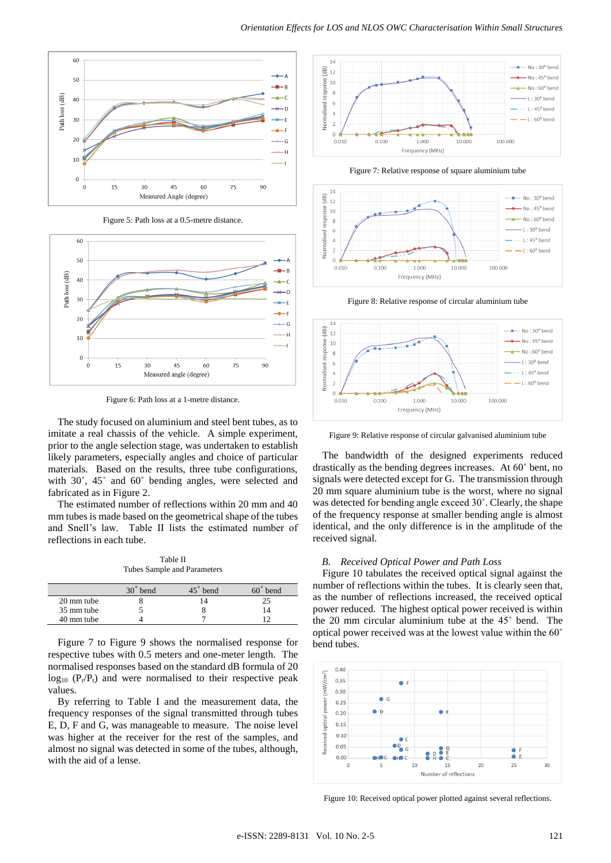

Figure 5: Path loss at a 0.5-metre distance.



Figure 6: Path loss at a 1-metre distance.

The study focused on aluminium and steel bent tubes, as to imitate a real chassis of the vehicle. A simple experiment, prior to the angle selection stage, was undertaken to establish likely parameters, especially angles and choice of particular materials. Based on the results, three tube configurations, with 30˚, 45˚ and 60˚ bending angles, were selected and fabricated as in Figure 2.

The estimated number of reflections within 20 mm and 40 mm tubes is made based on the geometrical shape of the tubes and Snell's law. Table II lists the estimated number of reflections in each tube.

Table II Tubes Sample and Parameters

|            | $30^{\circ}$<br>bend | bend | bend |
|------------|----------------------|------|------|
| 20 mm tube |                      |      |      |
| 35 mm tube |                      |      |      |
| 40 mm tube |                      |      |      |

Figure 7 to Figure 9 shows the normalised response for respective tubes with 0.5 meters and one-meter length. The normalised responses based on the standard dB formula of 20  $log_{10}$  ( $P_r/P_t$ ) and were normalised to their respective peak values.

By referring to Table I and the measurement data, the frequency responses of the signal transmitted through tubes E, D, F and G, was manageable to measure. The noise level was higher at the receiver for the rest of the samples, and almost no signal was detected in some of the tubes, although, with the aid of a lense.



Figure 7: Relative response of square aluminium tube



Figure 8: Relative response of circular aluminium tube



Figure 9: Relative response of circular galvanised aluminium tube

The bandwidth of the designed experiments reduced drastically as the bending degrees increases. At 60˚ bent, no signals were detected except for G. The transmission through 20 mm square aluminium tube is the worst, where no signal was detected for bending angle exceed 30˚. Clearly, the shape of the frequency response at smaller bending angle is almost identical, and the only difference is in the amplitude of the received signal.

## *B. Received Optical Power and Path Loss*

Figure 10 tabulates the received optical signal against the number of reflections within the tubes. It is clearly seen that, as the number of reflections increased, the received optical power reduced. The highest optical power received is within the 20 mm circular aluminium tube at the 45˚ bend. The optical power received was at the lowest value within the 60˚ bend tubes.



Figure 10: Received optical power plotted against several reflections.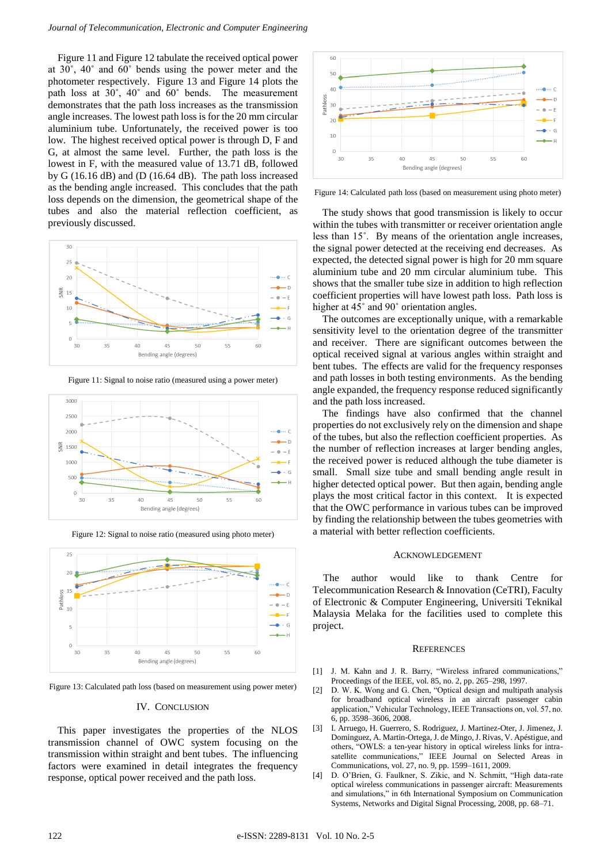Figure 11 and Figure 12 tabulate the received optical power at 30˚, 40˚ and 60˚ bends using the power meter and the photometer respectively. Figure 13 and Figure 14 plots the path loss at 30˚, 40˚ and 60˚ bends. The measurement demonstrates that the path loss increases as the transmission angle increases. The lowest path loss is for the 20 mm circular aluminium tube. Unfortunately, the received power is too low. The highest received optical power is through D, F and G, at almost the same level. Further, the path loss is the lowest in F, with the measured value of 13.71 dB, followed by G (16.16 dB) and (D (16.64 dB). The path loss increased as the bending angle increased. This concludes that the path loss depends on the dimension, the geometrical shape of the tubes and also the material reflection coefficient, as previously discussed.



Figure 11: Signal to noise ratio (measured using a power meter)



Figure 12: Signal to noise ratio (measured using photo meter)



Figure 13: Calculated path loss (based on measurement using power meter)

## IV. CONCLUSION

This paper investigates the properties of the NLOS transmission channel of OWC system focusing on the transmission within straight and bent tubes. The influencing factors were examined in detail integrates the frequency response, optical power received and the path loss.



Figure 14: Calculated path loss (based on measurement using photo meter)

The study shows that good transmission is likely to occur within the tubes with transmitter or receiver orientation angle less than 15˚. By means of the orientation angle increases, the signal power detected at the receiving end decreases. As expected, the detected signal power is high for 20 mm square aluminium tube and 20 mm circular aluminium tube. This shows that the smaller tube size in addition to high reflection coefficient properties will have lowest path loss. Path loss is higher at 45° and 90° orientation angles.

The outcomes are exceptionally unique, with a remarkable sensitivity level to the orientation degree of the transmitter and receiver. There are significant outcomes between the optical received signal at various angles within straight and bent tubes. The effects are valid for the frequency responses and path losses in both testing environments. As the bending angle expanded, the frequency response reduced significantly and the path loss increased.

The findings have also confirmed that the channel properties do not exclusively rely on the dimension and shape of the tubes, but also the reflection coefficient properties. As the number of reflection increases at larger bending angles, the received power is reduced although the tube diameter is small. Small size tube and small bending angle result in higher detected optical power. But then again, bending angle plays the most critical factor in this context. It is expected that the OWC performance in various tubes can be improved by finding the relationship between the tubes geometries with a material with better reflection coefficients.

## ACKNOWLEDGEMENT

The author would like to thank Centre for Telecommunication Research & Innovation (CeTRI), Faculty of Electronic & Computer Engineering, Universiti Teknikal Malaysia Melaka for the facilities used to complete this project.

#### **REFERENCES**

- [1] J. M. Kahn and J. R. Barry, "Wireless infrared communications," Proceedings of the IEEE, vol. 85, no. 2, pp. 265–298, 1997.
- [2] D. W. K. Wong and G. Chen, "Optical design and multipath analysis for broadband optical wireless in an aircraft passenger cabin application," Vehicular Technology, IEEE Transactions on, vol. 57, no. 6, pp. 3598–3606, 2008.
- [3] I. Arruego, H. Guerrero, S. Rodriguez, J. Martinez-Oter, J. Jimenez, J. Dominguez, A. Martin-Ortega, J. de Mingo, J. Rivas, V. Apéstigue, and others, "OWLS: a ten-year history in optical wireless links for intrasatellite communications," IEEE Journal on Selected Areas in Communications, vol. 27, no. 9, pp. 1599–1611, 2009.
- [4] D. O'Brien, G. Faulkner, S. Zikic, and N. Schmitt, "High data-rate optical wireless communications in passenger aircraft: Measurements and simulations," in 6th International Symposium on Communication Systems, Networks and Digital Signal Processing, 2008, pp. 68–71.